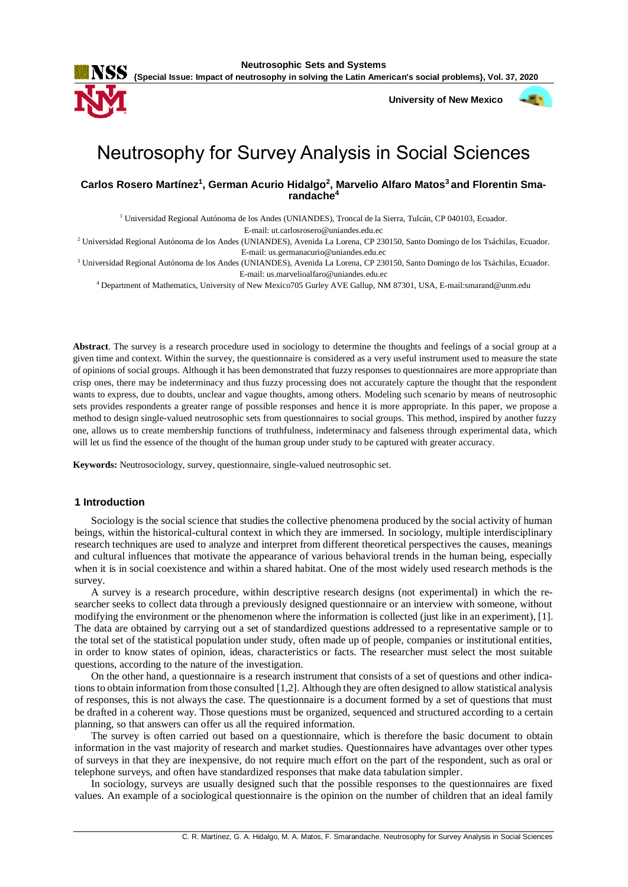

 **University of New Mexico**



# Neutrosophy for Survey Analysis in Social Sciences

**Carlos Rosero Martínez<sup>1</sup> , German Acurio Hidalgo<sup>2</sup> , Marvelio Alfaro Matos<sup>3</sup> and Florentin Smarandache<sup>4</sup>**

<sup>1</sup> Universidad Regional Autónoma de los Andes (UNIANDES), Troncal de la Sierra, Tulcán, CP 040103, Ecuador.

E-mail: ut.carlosrosero@uniandes.edu.ec

<sup>2</sup> Universidad Regional Autónoma de los Andes (UNIANDES), Avenida La Lorena, CP 230150, Santo Domingo de los Tsáchilas, Ecuador. E-mail: us.germanacurio@uniandes.edu.ec

<sup>3</sup> Universidad Regional Autónoma de los Andes (UNIANDES), Avenida La Lorena, CP 230150, Santo Domingo de los Tsáchilas, Ecuador. E-mail: us.marvelioalfaro@uniandes.edu.ec

<sup>4</sup> Department of Mathematics, University of New Mexico705 Gurley AVE Gallup, NM 87301, USA, E-mail:smarand@unm.edu

**Abstract**. The survey is a research procedure used in sociology to determine the thoughts and feelings of a social group at a given time and context. Within the survey, the questionnaire is considered as a very useful instrument used to measure the state of opinions of social groups. Although it has been demonstrated that fuzzy responses to questionnaires are more appropriate than crisp ones, there may be indeterminacy and thus fuzzy processing does not accurately capture the thought that the respondent wants to express, due to doubts, unclear and vague thoughts, among others. Modeling such scenario by means of neutrosophic sets provides respondents a greater range of possible responses and hence it is more appropriate. In this paper, we propose a method to design single-valued neutrosophic sets from questionnaires to social groups. This method, inspired by another fuzzy one, allows us to create membership functions of truthfulness, indeterminacy and falseness through experimental data, which will let us find the essence of the thought of the human group under study to be captured with greater accuracy.

**Keywords:** Neutrosociology, survey, questionnaire, single-valued neutrosophic set.

## **1 Introduction**

Sociology is the social science that studies the collective phenomena produced by the social activity of human beings, within the historical-cultural context in which they are immersed. In sociology, multiple interdisciplinary research techniques are used to analyze and interpret from different theoretical perspectives the causes, meanings and cultural influences that motivate the appearance of various behavioral trends in the human being, especially when it is in social coexistence and within a shared habitat. One of the most widely used research methods is the survey.

A survey is a research procedure, within descriptive research designs (not experimental) in which the researcher seeks to collect data through a previously designed questionnaire or an interview with someone, without modifying the environment or the phenomenon where the information is collected (just like in an experiment), [1]. The data are obtained by carrying out a set of standardized questions addressed to a representative sample or to the total set of the statistical population under study, often made up of people, companies or institutional entities, in order to know states of opinion, ideas, characteristics or facts. The researcher must select the most suitable questions, according to the nature of the investigation.

On the other hand, a questionnaire is a research instrument that consists of a set of questions and other indications to obtain information from those consulted [1,2]. Although they are often designed to allow statistical analysis of responses, this is not always the case. The questionnaire is a document formed by a set of questions that must be drafted in a coherent way. Those questions must be organized, sequenced and structured according to a certain planning, so that answers can offer us all the required information.

The survey is often carried out based on a questionnaire, which is therefore the basic document to obtain information in the vast majority of research and market studies. Questionnaires have advantages over other types of surveys in that they are inexpensive, do not require much effort on the part of the respondent, such as oral or telephone surveys, and often have standardized responses that make data tabulation simpler.

In sociology, surveys are usually designed such that the possible responses to the questionnaires are fixed values. An example of a sociological questionnaire is the opinion on the number of children that an ideal family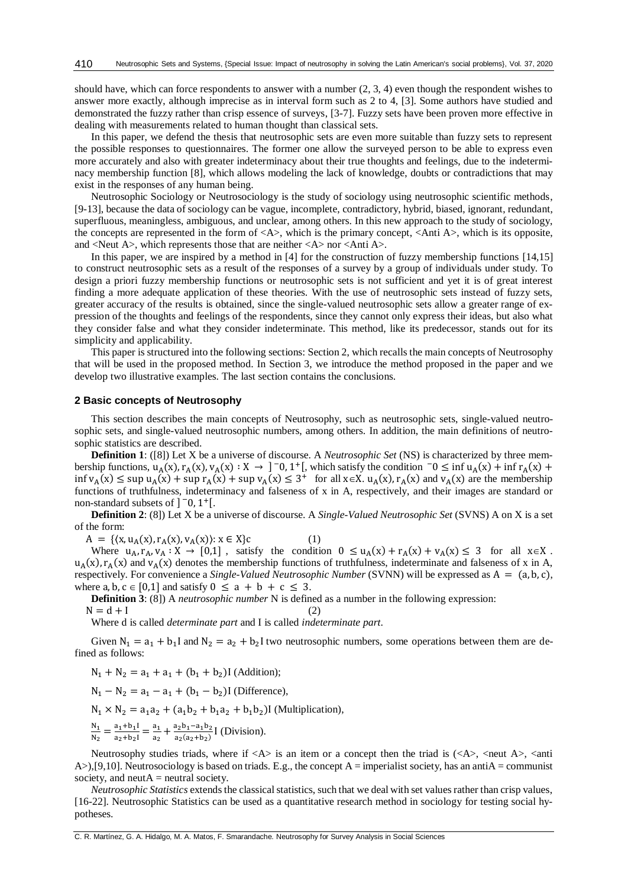should have, which can force respondents to answer with a number (2, 3, 4) even though the respondent wishes to answer more exactly, although imprecise as in interval form such as 2 to 4, [3]. Some authors have studied and demonstrated the fuzzy rather than crisp essence of surveys, [3-7]. Fuzzy sets have been proven more effective in dealing with measurements related to human thought than classical sets.

In this paper, we defend the thesis that neutrosophic sets are even more suitable than fuzzy sets to represent the possible responses to questionnaires. The former one allow the surveyed person to be able to express even more accurately and also with greater indeterminacy about their true thoughts and feelings, due to the indeterminacy membership function [8], which allows modeling the lack of knowledge, doubts or contradictions that may exist in the responses of any human being.

Neutrosophic Sociology or Neutrosociology is the study of sociology using neutrosophic scientific methods, [9-13], because the data of sociology can be vague, incomplete, contradictory, hybrid, biased, ignorant, redundant, superfluous, meaningless, ambiguous, and unclear, among others. In this new approach to the study of sociology, the concepts are represented in the form of  $\langle A \rangle$ , which is the primary concept,  $\langle$ Anti A $\rangle$ , which is its opposite, and <Neut A>, which represents those that are neither <A> nor <Anti A>.

In this paper, we are inspired by a method in [4] for the construction of fuzzy membership functions [14,15] to construct neutrosophic sets as a result of the responses of a survey by a group of individuals under study. To design a priori fuzzy membership functions or neutrosophic sets is not sufficient and yet it is of great interest finding a more adequate application of these theories. With the use of neutrosophic sets instead of fuzzy sets, greater accuracy of the results is obtained, since the single-valued neutrosophic sets allow a greater range of expression of the thoughts and feelings of the respondents, since they cannot only express their ideas, but also what they consider false and what they consider indeterminate. This method, like its predecessor, stands out for its simplicity and applicability.

This paper is structured into the following sections: Section 2, which recalls the main concepts of Neutrosophy that will be used in the proposed method. In Section 3, we introduce the method proposed in the paper and we develop two illustrative examples. The last section contains the conclusions.

#### **2 Basic concepts of Neutrosophy**

This section describes the main concepts of Neutrosophy, such as neutrosophic sets, single-valued neutrosophic sets, and single-valued neutrosophic numbers, among others. In addition, the main definitions of neutrosophic statistics are described.

**Definition 1**: ([8]) Let X be a universe of discourse. A *Neutrosophic Set* (NS) is characterized by three membership functions,  $u_A(x)$ ,  $r_A(x)$ ,  $v_A(x)$ :  $X \to 1^-0$ ,  $1^+$ [, which satisfy the condition  $-0 \le \inf u_A(x) + \inf r_A(x) +$  $\inf v_A(x) \leq \sup u_A(x) + \sup r_A(x) + \sup v_A(x) \leq 3^+$  for all  $x \in X$ .  $u_A(x)$ ,  $r_A(x)$  and  $v_A(x)$  are the membership functions of truthfulness, indeterminacy and falseness of x in A, respectively, and their images are standard or non-standard subsets of  $]$ <sup>-</sup>0, 1<sup>+</sup>[.

**Definition 2**: (8]) Let X be a universe of discourse. A *Single-Valued Neutrosophic Set* (SVNS) A on X is a set of the form:

 $A = \{(x, u_A(x), r_A(x), v_A(x)) : x \in X\}c$  (1)

Where  $u_A, r_A, v_A : X \to [0,1]$ , satisfy the condition  $0 \le u_A(x) + r_A(x) + v_A(x) \le 3$  for all  $x \in X$ .  $u_A(x)$ ,  $r_A(x)$  and  $v_A(x)$  denotes the membership functions of truthfulness, indeterminate and falseness of x in A, respectively. For convenience a *Single-Valued Neutrosophic Number* (SVNN) will be expressed as A = (a, b, c), where a, b,  $c \in [0,1]$  and satisfy  $0 \le a + b + c \le 3$ .

**Definition 3**: (8]) A *neutrosophic number* N is defined as a number in the following expression:

$$
N = d + I \tag{2}
$$

Where d is called *determinate part* and I is called *indeterminate part*.

Given  $N_1 = a_1 + b_1 I$  and  $N_2 = a_2 + b_2 I$  two neutrosophic numbers, some operations between them are defined as follows:

$$
N_1 + N_2 = a_1 + a_1 + (b_1 + b_2)
$$
 (Addition);

$$
N_1 - N_2 = a_1 - a_1 + (b_1 - b_2)
$$
 (Difference),

 $N_1 \times N_2 = a_1a_2 + (a_1b_2 + b_1a_2 + b_1b_2)$ I (Multiplication),

 $N_1$  $\frac{N_1}{N_2} = \frac{a_1 + b_1 I}{a_2 + b_2 I}$  $\frac{a_1+b_1I}{a_2+b_2I} = \frac{a_1}{a_2}$  $\frac{a_1}{a_2} + \frac{a_2b_1 - a_1b_2}{a_2(a_2+b_2)}$  $rac{a_2b_1-a_1b_2}{a_2(a_2+b_2)}$  [ (Division).

Neutrosophy studies triads, where if  $\langle A \rangle$  is an item or a concept then the triad is  $(\langle A \rangle, \langle \text{neut } A \rangle, \langle \text{anti} \rangle)$ A>),[9,10]. Neutrosociology is based on triads. E.g., the concept A = imperialist society, has an antiA = communist society, and  $neutA = neutral\, society.$ 

*Neutrosophic Statistics* extends the classical statistics, such that we deal with set values rather than crisp values, [16-22]. Neutrosophic Statistics can be used as a quantitative research method in sociology for testing social hypotheses.

C. R. Martínez, G. A. Hidalgo, M. A. Matos, F. Smarandache. Neutrosophy for Survey Analysis in Social Sciences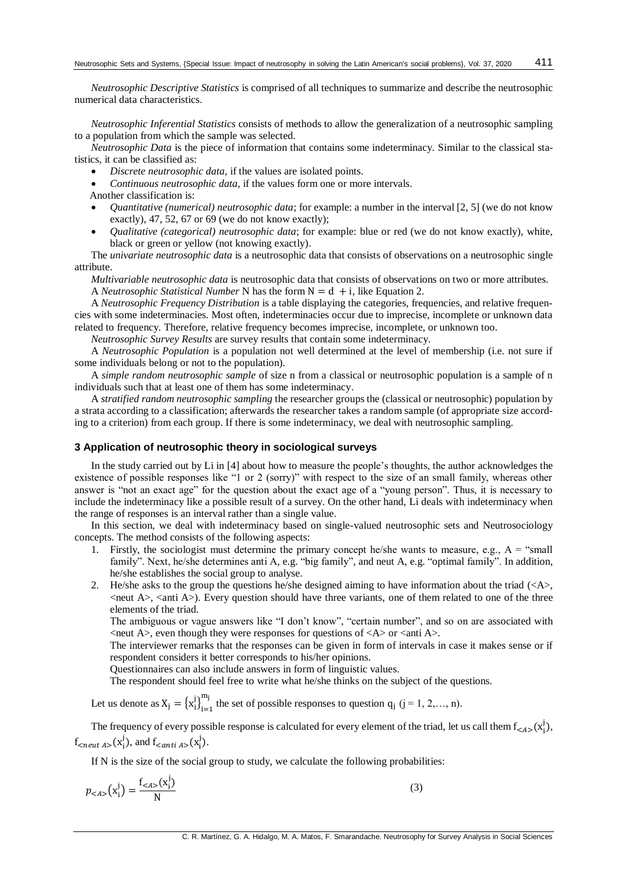*Neutrosophic Descriptive Statistics* is comprised of all techniques to summarize and describe the neutrosophic numerical data characteristics.

*Neutrosophic Inferential Statistics* consists of methods to allow the generalization of a neutrosophic sampling to a population from which the sample was selected.

*Neutrosophic Data* is the piece of information that contains some indeterminacy. Similar to the classical statistics, it can be classified as:

- *Discrete neutrosophic data*, if the values are isolated points.
- *Continuous neutrosophic data*, if the values form one or more intervals.
- Another classification is:
- *Quantitative (numerical) neutrosophic data*; for example: a number in the interval [2, 5] (we do not know exactly), 47, 52, 67 or 69 (we do not know exactly);
- *Qualitative (categorical) neutrosophic data*; for example: blue or red (we do not know exactly), white, black or green or yellow (not knowing exactly).

The *univariate neutrosophic data* is a neutrosophic data that consists of observations on a neutrosophic single attribute.

*Multivariable neutrosophic data* is neutrosophic data that consists of observations on two or more attributes. A *Neutrosophic Statistical Number* N has the form  $N = d + i$ , like Equation 2.

A *Neutrosophic Frequency Distribution* is a table displaying the categories, frequencies, and relative frequencies with some indeterminacies. Most often, indeterminacies occur due to imprecise, incomplete or unknown data related to frequency. Therefore, relative frequency becomes imprecise, incomplete, or unknown too.

*Neutrosophic Survey Results* are survey results that contain some indeterminacy.

A *Neutrosophic Population* is a population not well determined at the level of membership (i.e. not sure if some individuals belong or not to the population).

A *simple random neutrosophic sample* of size n from a classical or neutrosophic population is a sample of n individuals such that at least one of them has some indeterminacy.

A *stratified random neutrosophic sampling* the researcher groups the (classical or neutrosophic) population by a strata according to a classification; afterwards the researcher takes a random sample (of appropriate size according to a criterion) from each group. If there is some indeterminacy, we deal with neutrosophic sampling.

## **3 Application of neutrosophic theory in sociological surveys**

In the study carried out by Li in [4] about how to measure the people's thoughts, the author acknowledges the existence of possible responses like "1 or 2 (sorry)" with respect to the size of an small family, whereas other answer is "not an exact age" for the question about the exact age of a "young person". Thus, it is necessary to include the indeterminacy like a possible result of a survey. On the other hand, Li deals with indeterminacy when the range of responses is an interval rather than a single value.

In this section, we deal with indeterminacy based on single-valued neutrosophic sets and Neutrosociology concepts. The method consists of the following aspects:

- 1. Firstly, the sociologist must determine the primary concept he/she wants to measure, e.g.,  $A =$  "small" family". Next, he/she determines anti A, e.g. "big family", and neut A, e.g. "optimal family". In addition, he/she establishes the social group to analyse.
- 2. He/she asks to the group the questions he/she designed aiming to have information about the triad  $(\langle A \rangle)$ ,  $\epsilon$  and A $\epsilon$ ,  $\epsilon$  anti A $\epsilon$ ). Every question should have three variants, one of them related to one of the three elements of the triad.

The ambiguous or vague answers like "I don't know", "certain number", and so on are associated with  $\le$ neut A $>$ , even though they were responses for questions of  $\le$ A $>$  or  $\le$ anti A $>$ .

The interviewer remarks that the responses can be given in form of intervals in case it makes sense or if respondent considers it better corresponds to his/her opinions.

Questionnaires can also include answers in form of linguistic values.

The respondent should feel free to write what he/she thinks on the subject of the questions.

Let us denote as  $X_j = \{x_i^j\}_{i=1}^{m_j}$  $m_j$  the set of possible responses to question  $q_j$  (j = 1, 2,..., n).

The frequency of every possible response is calculated for every element of the triad, let us call them  $f_{< A>}(x_i^j)$ ,  $f_{\text{<}neut\ A>\}(x_i^j)$ , and  $f_{\text{<}anti\ A>\}(x_i^j)$ .

If N is the size of the social group to study, we calculate the following probabilities:

$$
p_{}\left\(x\_i^j\right\) = \frac{f\_{}\left\\(x\\_i^j\right\\)}{N}
$$
\n(3)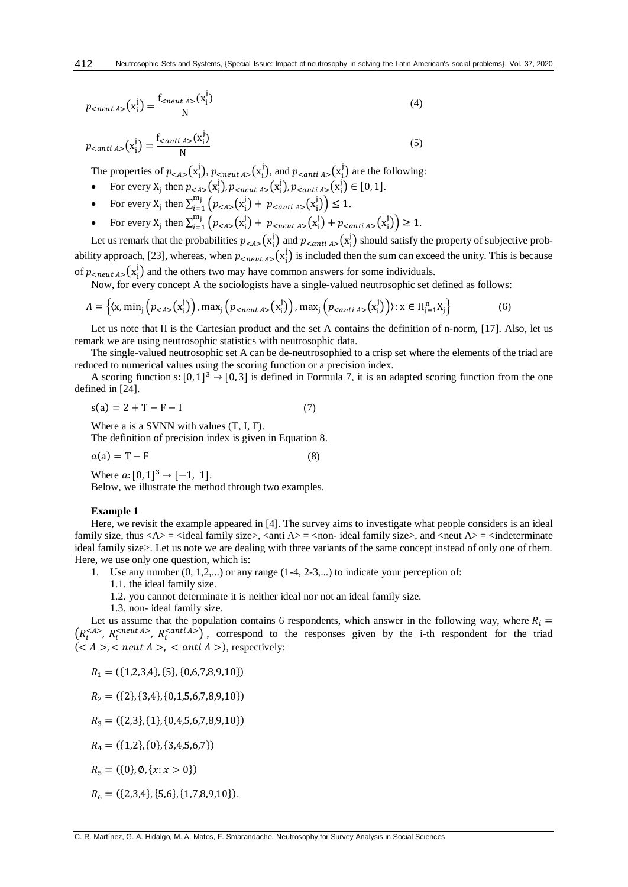$$
p_{\text{<} \text{neut } A \text{>}}(\mathbf{x}_i^j) = \frac{f_{\text{<} \text{neut } A \text{>}}(\mathbf{x}_i^j)}{N} \tag{4}
$$

$$
p_{\text{canti A>}}(\mathbf{x}_i^j) = \frac{\mathbf{f}_{\text{canti A>}}(\mathbf{x}_i^j)}{N} \tag{5}
$$

The properties of  $p_{\leq A>}(\mathbf{x}_i^j)$ ,  $p_{\leq n \text{cut } A>}(\mathbf{x}_i^j)$ , and  $p_{\leq n \text{cut } A>}(\mathbf{x}_i^j)$  are the following:

• For every 
$$
X_j
$$
 then  $p_{< A>}(x_i^j)$ ,  $p_{}(x_i^j)$ ,  $p_{}(x_i^j) \in [0, 1]$ .

- For every  $X_j$  then  $\sum_{i=1}^{m_j} (p_{\langle A \rangle}(x_i^j) + p_{\langle \text{anti } A \rangle}(x_i^j)) \le 1$ .
- For every  $X_j$  then  $\sum_{i=1}^{m_j} (p_{\leq A>}(x_i^j) + p_{\leq n \text{cut } A>} (x_i^j) + p_{\leq n \text{cut } A>} (x_i^j)) \geq 1$ .

Let us remark that the probabilities  $p_{\leq A}$ ,  $(x_i^j)$  and  $p_{\leq \text{anti }A}$ ,  $(x_i^j)$  should satisfy the property of subjective probability approach, [23], whereas, when  $p_{\text{c}neut A>}(x_i^j)$  is included then the sum can exceed the unity. This is because of  $p_{\text{<} \times \text{neut } A>}(\textbf{x}_i^j)$  and the others two may have common answers for some individuals.

Now, for every concept A the sociologists have a single-valued neutrosophic set defined as follows:

$$
A = \left\{ (\mathbf{x}, \min_{j} \left( p_{< A>}(\mathbf{x}_{i}^{j}) \right), \max_{j} \left( p_{}(\mathbf{x}_{i}^{j}) \right), \max_{j} \left( p_{}(\mathbf{x}_{i}^{j}) \right) \right) : \mathbf{x} \in \Pi_{j=1}^{n} \mathbf{X}_{j} \right\}
$$
(6)

Let us note that Π is the Cartesian product and the set A contains the definition of n-norm, [17]. Also, let us remark we are using neutrosophic statistics with neutrosophic data.

The single-valued neutrosophic set A can be de-neutrosophied to a crisp set where the elements of the triad are reduced to numerical values using the scoring function or a precision index.

A scoring function s:  $[0, 1]^3 \rightarrow [0, 3]$  is defined in Formula 7, it is an adapted scoring function from the one defined in [24].

$$
s(a) = 2 + T - F - I \tag{7}
$$

Where a is a SVNN with values (T, I, F).

The definition of precision index is given in Equation 8.

$$
a(a) = T - F \tag{8}
$$

Where  $a: [0, 1]^3 \rightarrow [-1, 1]$ . Below, we illustrate the method through two examples.

#### **Example 1**

Here, we revisit the example appeared in [4]. The survey aims to investigate what people considers is an ideal family size, thus  $\langle A \rangle$  =  $\langle A \rangle$  =  $\langle A \rangle$  =  $\langle A \rangle$  =  $\langle A \rangle$  =  $\langle A \rangle$  =  $\langle A \rangle$  =  $\langle A \rangle$  =  $\langle A \rangle$  =  $\langle A \rangle$  =  $\langle A \rangle$  =  $\langle A \rangle$  =  $\langle A \rangle$  =  $\langle A \rangle$  =  $\langle A \rangle$  =  $\langle A \rangle$  =  $\langle A \rangle$  =  $\langle A \rangle$  =  $\langle A \rangle$  =  $\langle A \rangle$  =  $\langle$ ideal family size>. Let us note we are dealing with three variants of the same concept instead of only one of them. Here, we use only one question, which is:

- 1. Use any number (0, 1,2,...) or any range (1-4, 2-3,...) to indicate your perception of:
	- 1.1. the ideal family size.
	- 1.2. you cannot determinate it is neither ideal nor not an ideal family size.
	- 1.3. non- ideal family size.

Let us assume that the population contains 6 respondents, which answer in the following way, where  $R_i =$  $(R_i^{<> R_i^{\text{ll}})}$ ,  $R_i^{<> R_i^{\text{ll}})}$ , correspond to the responses given by the i-th respondent for the triad  $(*A*>, *result A*>, *anti A*), respectively.$ 

 $R_1 = ({1,2,3,4}, {5}, {0,6,7,8,9,10})$ 

 $R_2 = (\{2\}, \{3,4\}, \{0,1,5,6,7,8,9,10\})$ 

 $R_3 = ({2,3}, {1}, {0,4,5,6,7,8,9,10})$ 

 $R_4 = (\{1,2\},\{0\},\{3,4,5,6,7\})$ 

 $R_5 = (\{0\}, \emptyset, \{x : x > 0\})$ 

 $R_6 = ({2,3,4}, {5,6}, {1,7,8,9,10}).$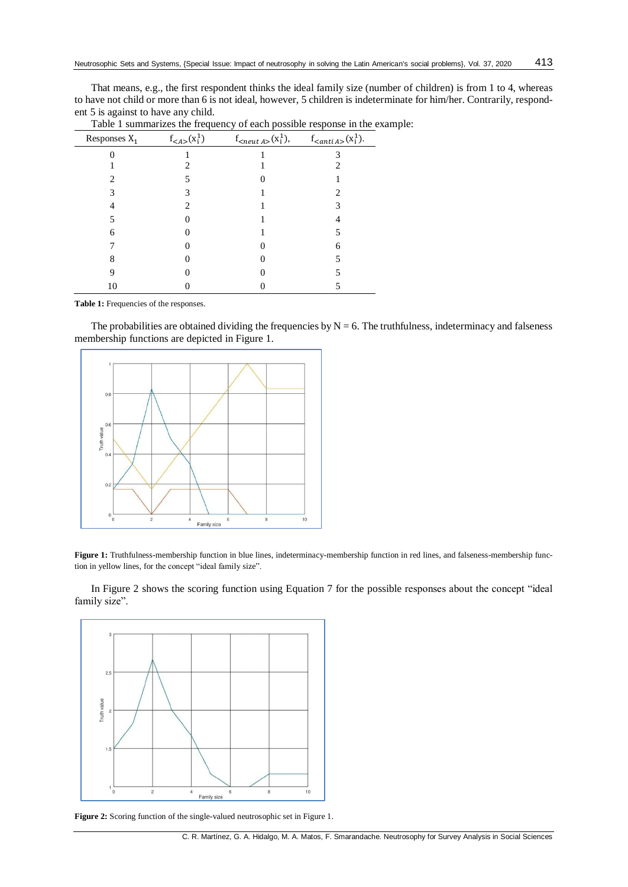That means, e.g., the first respondent thinks the ideal family size (number of children) is from 1 to 4, whereas to have not child or more than 6 is not ideal, however, 5 children is indeterminate for him/her. Contrarily, respondent 5 is against to have any child.

| Responses $X_1$ | $f_{}(x_i^1)$ | $f_{\text{x}}(x_i)$ , f <sub><math>\langle x_i^1 \rangle</math></sub> , | $f_{\text{<}anti\,A\text{>}}(x_i^1)$ . |
|-----------------|---------------|-------------------------------------------------------------------------|----------------------------------------|
|                 |               |                                                                         |                                        |
|                 |               |                                                                         |                                        |
|                 |               |                                                                         |                                        |
|                 |               |                                                                         |                                        |
|                 |               |                                                                         |                                        |
|                 |               |                                                                         |                                        |
| 6               |               |                                                                         |                                        |
|                 |               |                                                                         | 6                                      |
|                 |               |                                                                         |                                        |
|                 |               |                                                                         |                                        |
| 10              |               |                                                                         |                                        |

Table 1 summarizes the frequency of each possible response in the example:

**Table 1:** Frequencies of the responses.

The probabilities are obtained dividing the frequencies by  $N = 6$ . The truthfulness, indeterminacy and falseness membership functions are depicted in Figure 1.



**Figure 1:** Truthfulness-membership function in blue lines, indeterminacy-membership function in red lines, and falseness-membership function in yellow lines, for the concept "ideal family size".

In Figure 2 shows the scoring function using Equation 7 for the possible responses about the concept "ideal family size".



Figure 2: Scoring function of the single-valued neutrosophic set in Figure 1.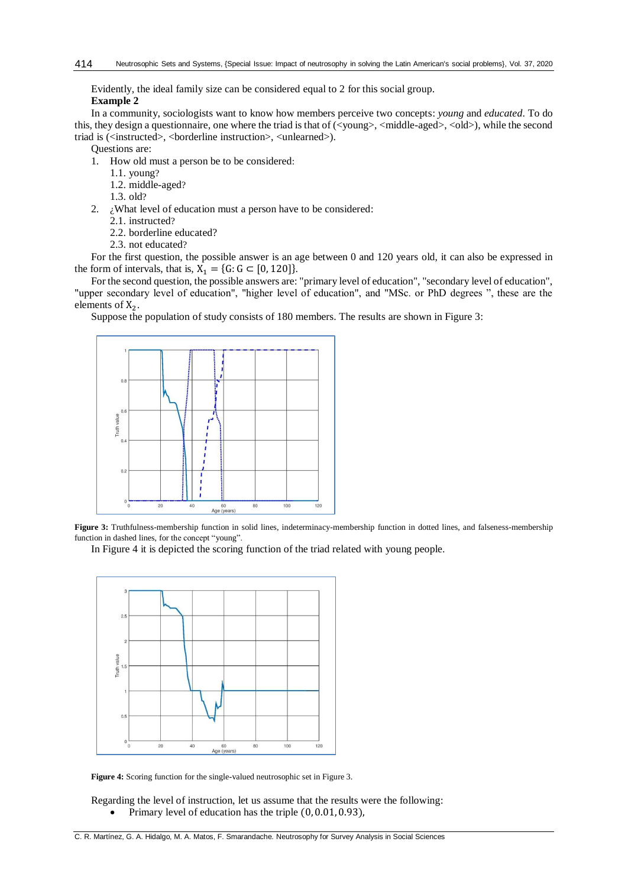Evidently, the ideal family size can be considered equal to 2 for this social group. **Example 2**

In a community, sociologists want to know how members perceive two concepts: *young* and *educated*. To do this, they design a questionnaire, one where the triad is that of (<young>, <middle-aged>, <old>), while the second triad is (<instructed>, <br/> <br/>borderline instruction>, <unlearned>).

Questions are:

- 1. How old must a person be to be considered:
	- 1.1. young?
	- 1.2. middle-aged?
	- 1.3. old?
- 2.  $\dot{\textit{i}}$  What level of education must a person have to be considered:
	- 2.1. instructed?
	- 2.2. borderline educated?
	- 2.3. not educated?

For the first question, the possible answer is an age between 0 and 120 years old, it can also be expressed in the form of intervals, that is,  $X_1 = \{G: G \subset [0, 120]\}.$ 

For the second question, the possible answers are: "primary level of education", "secondary level of education", "upper secondary level of education", "higher level of education", and "MSc. or PhD degrees ", these are the elements of  $X_2$ .

Suppose the population of study consists of 180 members. The results are shown in Figure 3:



**Figure 3:** Truthfulness-membership function in solid lines, indeterminacy-membership function in dotted lines, and falseness-membership function in dashed lines, for the concept "young".

In Figure 4 it is depicted the scoring function of the triad related with young people.



**Figure 4:** Scoring function for the single-valued neutrosophic set in Figure 3.

Regarding the level of instruction, let us assume that the results were the following: • Primary level of education has the triple  $(0, 0.01, 0.93)$ ,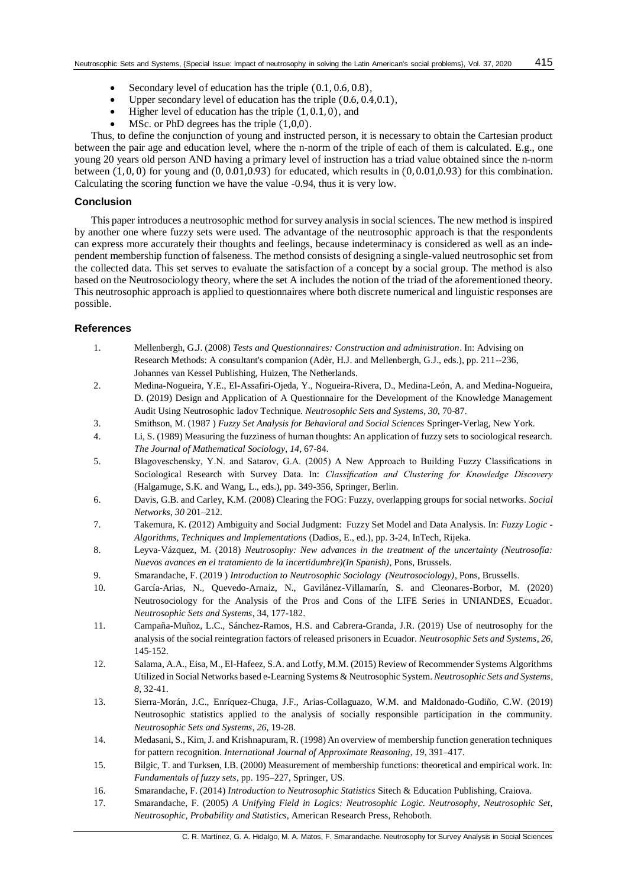- Secondary level of education has the triple (0.1, 0.6, 0.8),
- Upper secondary level of education has the triple (0.6, 0.4,0.1),
- Higher level of education has the triple  $(1, 0.1, 0)$ , and
- MSc. or PhD degrees has the triple  $(1,0,0)$ .

Thus, to define the conjunction of young and instructed person, it is necessary to obtain the Cartesian product between the pair age and education level, where the n-norm of the triple of each of them is calculated. E.g., one young 20 years old person AND having a primary level of instruction has a triad value obtained since the n-norm between  $(1, 0, 0)$  for young and  $(0, 0.01, 0.93)$  for educated, which results in  $(0, 0.01, 0.93)$  for this combination. Calculating the scoring function we have the value -0.94, thus it is very low.

# **Conclusion**

This paper introduces a neutrosophic method for survey analysis in social sciences. The new method is inspired by another one where fuzzy sets were used. The advantage of the neutrosophic approach is that the respondents can express more accurately their thoughts and feelings, because indeterminacy is considered as well as an independent membership function of falseness. The method consists of designing a single-valued neutrosophic set from the collected data. This set serves to evaluate the satisfaction of a concept by a social group. The method is also based on the Neutrosociology theory, where the set A includes the notion of the triad of the aforementioned theory. This neutrosophic approach is applied to questionnaires where both discrete numerical and linguistic responses are possible.

### **References**

- 1. Mellenbergh, G.J. (2008) *Tests and Questionnaires: Construction and administration*. In: Advising on Research Methods: A consultant's companion (Adèr, H.J. and Mellenbergh, G.J., eds.), pp. 211--236, Johannes van Kessel Publishing, Huizen, The Netherlands.
- 2. Medina-Nogueira, Y.E., El-Assafiri-Ojeda, Y., Nogueira-Rivera, D., Medina-León, A. and Medina-Nogueira, D. (2019) Design and Application of A Questionnaire for the Development of the Knowledge Management Audit Using Neutrosophic Iadov Technique. *Neutrosophic Sets and Systems*, *30*, 70-87.
- 3. Smithson, M. (1987 ) *Fuzzy Set Analysis for Behavioral and Social Sciences* Springer-Verlag, New York.
- 4. Li, S. (1989) Measuring the fuzziness of human thoughts: An application of fuzzy sets to sociological research. *The Journal of Mathematical Sociology*, *14*, 67-84.
- 5. Blagoveschensky, Y.N. and Satarov, G.A. (2005) A New Approach to Building Fuzzy Classifications in Sociological Research with Survey Data. In: *Classification and Clustering for Knowledge Discovery* (Halgamuge, S.K. and Wang, L., eds.), pp. 349-356, Springer, Berlin.
- 6. Davis, G.B. and Carley, K.M. (2008) Clearing the FOG: Fuzzy, overlapping groups for social networks. *Social Networks*, *30* 201–212.
- 7. Takemura, K. (2012) Ambiguity and Social Judgment: Fuzzy Set Model and Data Analysis. In: *Fuzzy Logic - Algorithms, Techniques and Implementations* (Dadios, E., ed.), pp. 3-24, InTech, Rijeka.
- 8. Leyva-Vázquez, M. (2018) *Neutrosophy: New advances in the treatment of the uncertainty (Neutrosofía: Nuevos avances en el tratamiento de la incertidumbre)(In Spanish)*, Pons, Brussels.
- 9. Smarandache, F. (2019 ) *Introduction to Neutrosophic Sociology (Neutrosociology)*, Pons, Brussells.
- 10. García-Arias, N., Quevedo-Arnaiz, N., Gavilánez-Villamarín, S. and Cleonares-Borbor, M. (2020) Neutrosociology for the Analysis of the Pros and Cons of the LIFE Series in UNIANDES, Ecuador. *Neutrosophic Sets and Systems*, 34, 177-182.
- 11. Campaña-Muñoz, L.C., Sánchez-Ramos, H.S. and Cabrera-Granda, J.R. (2019) Use of neutrosophy for the analysis of the social reintegration factors of released prisoners in Ecuador. *Neutrosophic Sets and Systems*, *26*, 145-152.
- 12. Salama, A.A., Eisa, M., El-Hafeez, S.A. and Lotfy, M.M. (2015) Review of Recommender Systems Algorithms Utilized in Social Networks based e-Learning Systems & Neutrosophic System. *Neutrosophic Sets and Systems*, *8*, 32-41.
- 13. Sierra-Morán, J.C., Enríquez-Chuga, J.F., Arias-Collaguazo, W.M. and Maldonado-Gudiño, C.W. (2019) Neutrosophic statistics applied to the analysis of socially responsible participation in the community. *Neutrosophic Sets and Systems*, *26*, 19-28.
- 14. Medasani, S., Kim, J. and Krishnapuram, R. (1998) An overview of membership function generation techniques for pattern recognition. *International Journal of Approximate Reasoning*, *19*, 391–417.
- 15. Bilgic, T. and Turksen, I.B. (2000) Measurement of membership functions: theoretical and empirical work. In: *Fundamentals of fuzzy sets*, pp. 195–227, Springer, US.
- 16. Smarandache, F. (2014) *Introduction to Neutrosophic Statistics* Sitech & Education Publishing, Craiova.
- 17. Smarandache, F. (2005) *A Unifying Field in Logics: Neutrosophic Logic. Neutrosophy, Neutrosophic Set, Neutrosophic, Probability and Statistics*, American Research Press, Rehoboth.